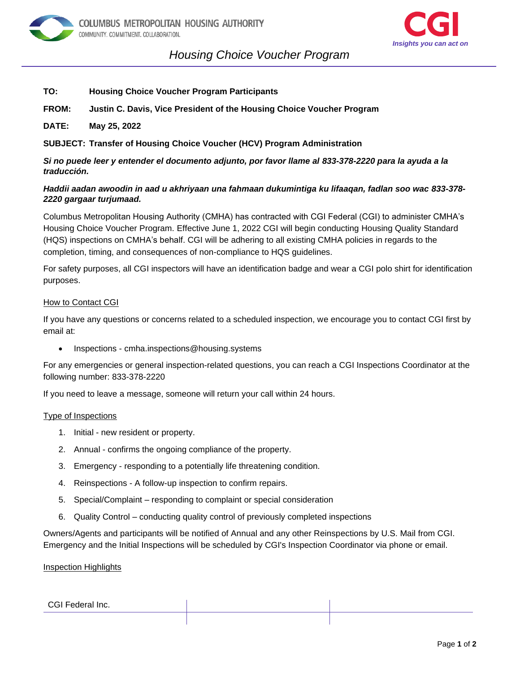



## *Housing Choice Voucher Program on*

- **TO: Housing Choice Voucher Program Participants**
- **FROM: Justin C. Davis, Vice President of the Housing Choice Voucher Program**
- **DATE: May 25, 2022**

**SUBJECT: Transfer of Housing Choice Voucher (HCV) Program Administration**

*Si no puede leer y entender el documento adjunto, por favor llame al 833-378-2220 para la ayuda a la traducción.*

### *Haddii aadan awoodin in aad u akhriyaan una fahmaan dukumintiga ku lifaaqan, fadlan soo wac 833-378- 2220 gargaar turjumaad.*

Columbus Metropolitan Housing Authority (CMHA) has contracted with CGI Federal (CGI) to administer CMHA's Housing Choice Voucher Program. Effective June 1, 2022 CGI will begin conducting Housing Quality Standard (HQS) inspections on CMHA's behalf. CGI will be adhering to all existing CMHA policies in regards to the completion, timing, and consequences of non-compliance to HQS guidelines.

For safety purposes, all CGI inspectors will have an identification badge and wear a CGI polo shirt for identification purposes.

#### How to Contact CGI

If you have any questions or concerns related to a scheduled inspection, we encourage you to contact CGI first by email at:

• Inspections - cmha.inspections@housing.systems

For any emergencies or general inspection-related questions, you can reach a CGI Inspections Coordinator at the following number: 833-378-2220

If you need to leave a message, someone will return your call within 24 hours.

#### Type of Inspections

- 1. Initial new resident or property.
- 2. Annual confirms the ongoing compliance of the property.
- 3. Emergency responding to a potentially life threatening condition.
- 4. Reinspections A follow-up inspection to confirm repairs.
- 5. Special/Complaint responding to complaint or special consideration
- 6. Quality Control conducting quality control of previously completed inspections

Owners/Agents and participants will be notified of Annual and any other Reinspections by U.S. Mail from CGI. Emergency and the Initial Inspections will be scheduled by CGI's Inspection Coordinator via phone or email.

Inspection Highlights

## CGI Federal Inc.